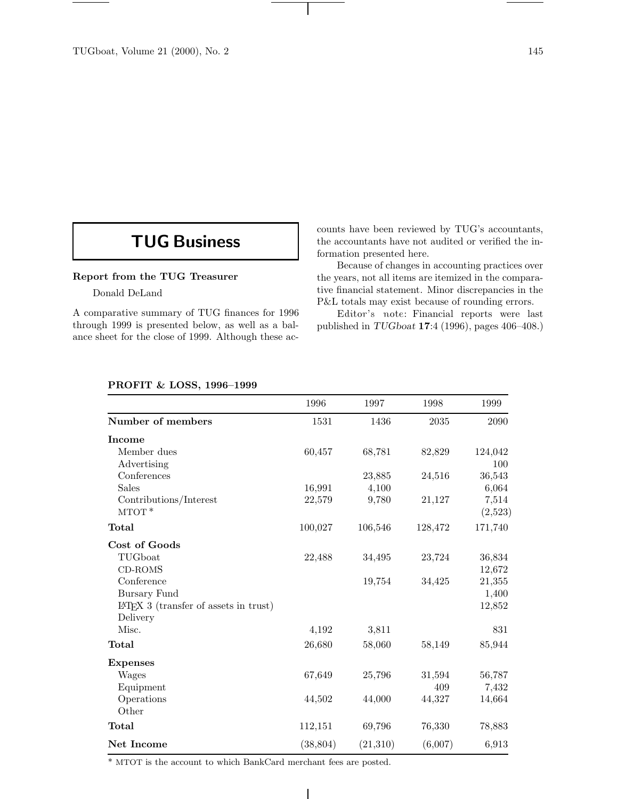## **TUG Business**

## **Report from the TUG Treasurer**

Donald DeLand

A comparative summary of TUG finances for 1996 through 1999 is presented below, as well as a balance sheet for the close of 1999. Although these accounts have been reviewed by TUG's accountants, the accountants have not audited or verified the information presented here.

Because of changes in accounting practices over the years, not all items are itemized in the comparative financial statement. Minor discrepancies in the P&L totals may exist because of rounding errors.

Editor's note: Financial reports were last published in *TUGboat* **17**:4 (1996), pages 406–408.)

## **PROFIT & LOSS, 1996–1999**

|                                                      | 1996      | 1997     | 1998    | 1999     |
|------------------------------------------------------|-----------|----------|---------|----------|
| Number of members                                    | 1531      | 1436     | 2035    | $\,2090$ |
| <b>Income</b>                                        |           |          |         |          |
| Member dues                                          | 60,457    | 68,781   | 82,829  | 124,042  |
| Advertising                                          |           |          |         | 100      |
| Conferences                                          |           | 23,885   | 24,516  | 36,543   |
| <b>Sales</b>                                         | 16,991    | 4,100    |         | 6,064    |
| Contributions/Interest                               | 22,579    | 9,780    | 21,127  | 7,514    |
| $MTOT*$                                              |           |          |         | (2,523)  |
| Total                                                | 100,027   | 106,546  | 128,472 | 171,740  |
| Cost of Goods                                        |           |          |         |          |
| TUGboat                                              | 22,488    | 34,495   | 23,724  | 36,834   |
| $CD$ -ROMS                                           |           |          |         | 12,672   |
| Conference                                           |           | 19,754   | 34,425  | 21,355   |
| Bursary Fund                                         |           |          |         | 1,400    |
| $IAT$ <sub>F</sub> X 3 (transfer of assets in trust) |           |          |         | 12,852   |
| Delivery                                             |           |          |         |          |
| Misc.                                                | 4,192     | 3,811    |         | 831      |
| Total                                                | 26,680    | 58,060   | 58,149  | 85,944   |
| <b>Expenses</b>                                      |           |          |         |          |
| Wages                                                | 67,649    | 25,796   | 31,594  | 56,787   |
| Equipment                                            |           |          | 409     | 7,432    |
| Operations                                           | 44,502    | 44,000   | 44,327  | 14,664   |
| Other                                                |           |          |         |          |
| Total                                                | 112,151   | 69,796   | 76,330  | 78,883   |
| Net Income                                           | (38, 804) | (21,310) | (6,007) | 6,913    |

 $\overline{\phantom{a}}$ 

\* MTOT is the account to which BankCard merchant fees are posted.